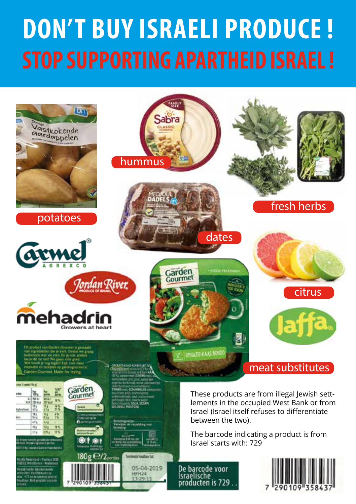# **DON'T BUY ISRAELI PRODUCE ! STOP SUPPORTING APARTHEID ISRAEL !**

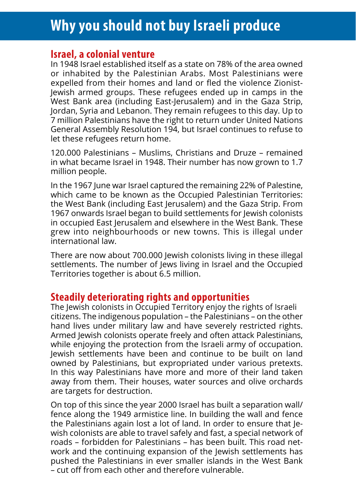## **Why you should not buy Israeli produce**

#### **Israel, a colonial venture**

In 1948 Israel established itself as a state on 78% of the area owned or inhabited by the Palestinian Arabs. Most Palestinians were expelled from their homes and land or fled the violence Zionist-Jewish armed groups. These refugees ended up in camps in the West Bank area (including East-Jerusalem) and in the Gaza Strip, Jordan, Syria and Lebanon. They remain refugees to this day. Up to 7 million Palestinians have the right to return under United Nations General Assembly Resolution 194, but Israel continues to refuse to let these refugees return home.

120.000 Palestinians – Muslims, Christians and Druze – remained in what became Israel in 1948. Their number has now grown to 1.7 million people.

In the 1967 June war Israel captured the remaining 22% of Palestine, which came to be known as the Occupied Palestinian Territories: the West Bank (including East Jerusalem) and the Gaza Strip. From 1967 onwards Israel began to build settlements for Jewish colonists in occupied East Jerusalem and elsewhere in the West Bank. These grew into neighbourhoods or new towns. This is illegal under international law.

There are now about 700.000 Jewish colonists living in these illegal settlements. The number of lews living in Israel and the Occupied Territories together is about 6.5 million.

#### **Steadily deteriorating rights and opportunities**

The lewish colonists in Occupied Territory enjoy the rights of Israeli citizens. The indigenous population – the Palestinians – on the other hand lives under military law and have severely restricted rights. Armed Jewish colonists operate freely and often attack Palestinians, while enjoying the protection from the Israeli army of occupation. Jewish settlements have been and continue to be built on land owned by Palestinians, but expropriated under various pretexts. In this way Palestinians have more and more of their land taken away from them. Their houses, water sources and olive orchards are targets for destruction.

On top of this since the year 2000 Israel has built a separation wall/ fence along the 1949 armistice line. In building the wall and fence the Palestinians again lost a lot of land. In order to ensure that Jewish colonists are able to travel safely and fast, a special network of roads – forbidden for Palestinians – has been built. This road network and the continuing expansion of the Jewish settlements has pushed the Palestinians in ever smaller islands in the West Bank – cut off from each other and therefore vulnerable.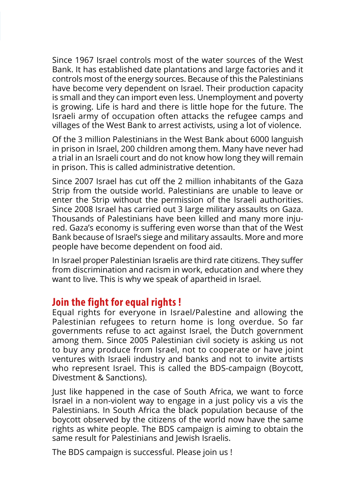Since 1967 Israel controls most of the water sources of the West Bank. It has established date plantations and large factories and it controls most of the energy sources. Because of this the Palestinians have become very dependent on Israel. Their production capacity is small and they can import even less. Unemployment and poverty is growing. Life is hard and there is little hope for the future. The Israeli army of occupation often attacks the refugee camps and villages of the West Bank to arrest activists, using a lot of violence.

Of the 3 million Palestinians in the West Bank about 6000 languish in prison in Israel, 200 children among them. Many have never had a trial in an Israeli court and do not know how long they will remain in prison. This is called administrative detention.

Since 2007 Israel has cut off the 2 million inhabitants of the Gaza Strip from the outside world. Palestinians are unable to leave or enter the Strip without the permission of the Israeli authorities. Since 2008 Israel has carried out 3 large military assaults on Gaza. Thousands of Palestinians have been killed and many more injured. Gaza's economy is suffering even worse than that of the West Bank because of Israel's siege and military assaults. More and more people have become dependent on food aid.

In Israel proper Palestinian Israelis are third rate citizens. They suffer from discrimination and racism in work, education and where they want to live. This is why we speak of apartheid in Israel.

#### **Join the fight for equal rights !**

Equal rights for everyone in Israel/Palestine and allowing the Palestinian refugees to return home is long overdue. So far governments refuse to act against Israel, the Dutch government among them. Since 2005 Palestinian civil society is asking us not to buy any produce from Israel, not to cooperate or have joint ventures with Israeli industry and banks and not to invite artists who represent Israel. This is called the BDS-campaign (Boycott, Divestment & Sanctions).

Just like happened in the case of South Africa, we want to force Israel in a non-violent way to engage in a just policy vis a vis the Palestinians. In South Africa the black population because of the boycott observed by the citizens of the world now have the same rights as white people. The BDS campaign is aiming to obtain the same result for Palestinians and Jewish Israelis.

The BDS campaign is successful. Please join us !